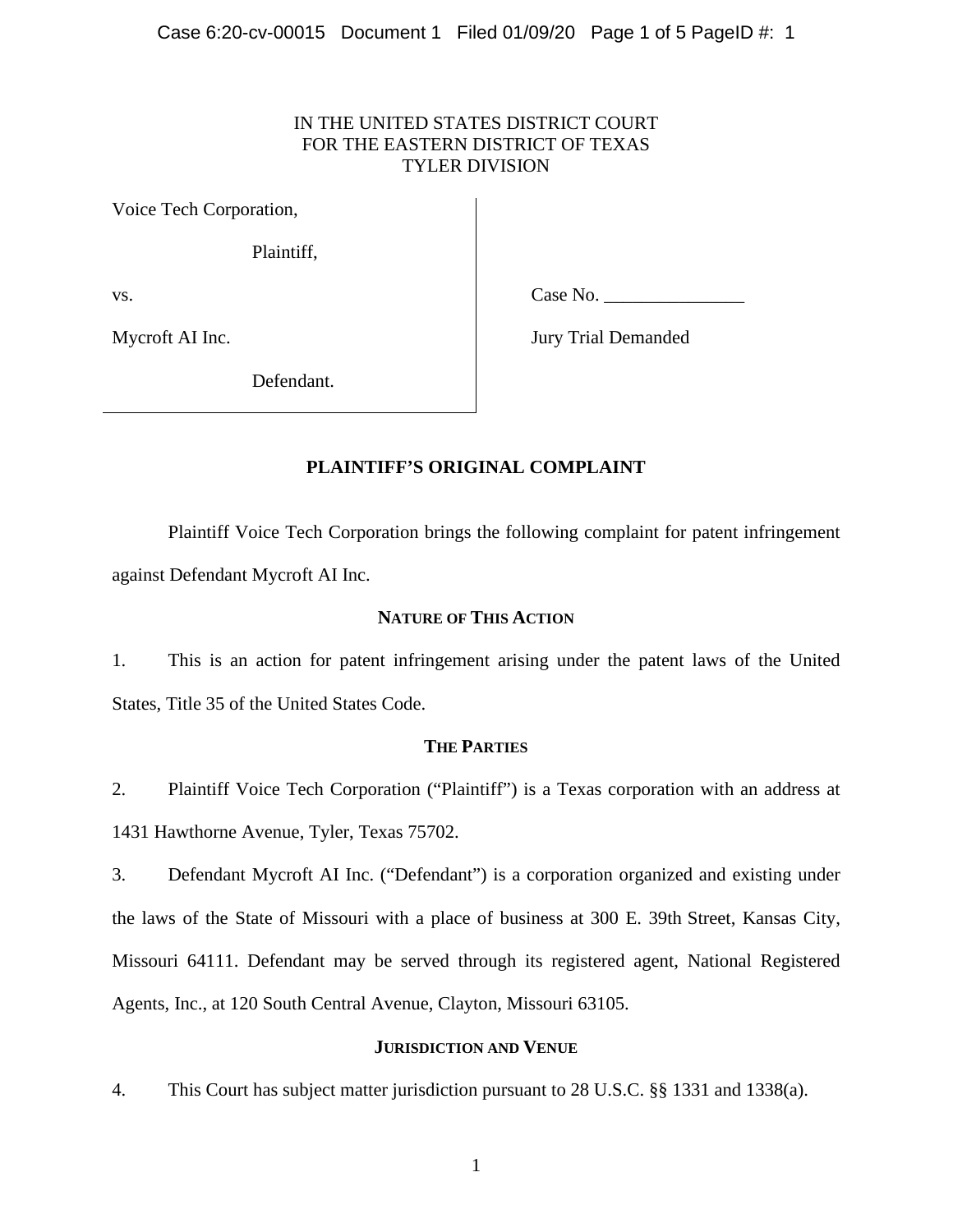# IN THE UNITED STATES DISTRICT COURT FOR THE EASTERN DISTRICT OF TEXAS TYLER DIVISION

Voice Tech Corporation,

Plaintiff,

vs.

Case No.

Mycroft AI Inc.

Jury Trial Demanded

Defendant.

# **PLAINTIFF'S ORIGINAL COMPLAINT**

Plaintiff Voice Tech Corporation brings the following complaint for patent infringement against Defendant Mycroft AI Inc.

# **NATURE OF THIS ACTION**

1. This is an action for patent infringement arising under the patent laws of the United States, Title 35 of the United States Code.

# **THE PARTIES**

2. Plaintiff Voice Tech Corporation ("Plaintiff") is a Texas corporation with an address at 1431 Hawthorne Avenue, Tyler, Texas 75702.

3. Defendant Mycroft AI Inc. ("Defendant") is a corporation organized and existing under the laws of the State of Missouri with a place of business at 300 E. 39th Street, Kansas City, Missouri 64111. Defendant may be served through its registered agent, National Registered Agents, Inc., at 120 South Central Avenue, Clayton, Missouri 63105.

### **JURISDICTION AND VENUE**

4. This Court has subject matter jurisdiction pursuant to 28 U.S.C. §§ 1331 and 1338(a).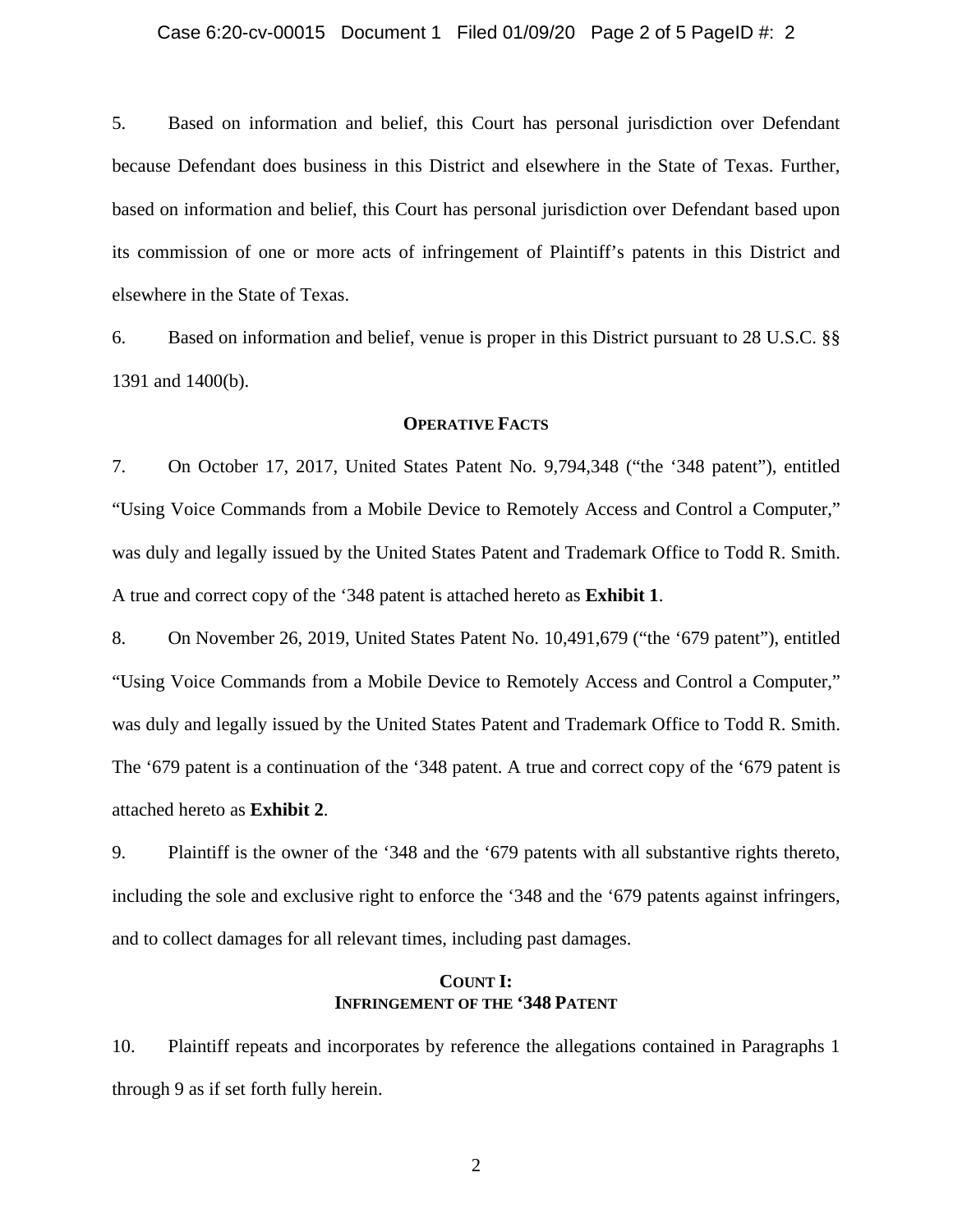#### Case 6:20-cv-00015 Document 1 Filed 01/09/20 Page 2 of 5 PageID #: 2

5. Based on information and belief, this Court has personal jurisdiction over Defendant because Defendant does business in this District and elsewhere in the State of Texas. Further, based on information and belief, this Court has personal jurisdiction over Defendant based upon its commission of one or more acts of infringement of Plaintiff's patents in this District and elsewhere in the State of Texas.

6. Based on information and belief, venue is proper in this District pursuant to 28 U.S.C. §§ 1391 and 1400(b).

### **OPERATIVE FACTS**

7. On October 17, 2017, United States Patent No. 9,794,348 ("the '348 patent"), entitled "Using Voice Commands from a Mobile Device to Remotely Access and Control a Computer," was duly and legally issued by the United States Patent and Trademark Office to Todd R. Smith. A true and correct copy of the '348 patent is attached hereto as **Exhibit 1**.

8. On November 26, 2019, United States Patent No. 10,491,679 ("the '679 patent"), entitled "Using Voice Commands from a Mobile Device to Remotely Access and Control a Computer," was duly and legally issued by the United States Patent and Trademark Office to Todd R. Smith. The '679 patent is a continuation of the '348 patent. A true and correct copy of the '679 patent is attached hereto as **Exhibit 2**.

9. Plaintiff is the owner of the '348 and the '679 patents with all substantive rights thereto, including the sole and exclusive right to enforce the '348 and the '679 patents against infringers, and to collect damages for all relevant times, including past damages.

# **COUNT I: INFRINGEMENT OF THE '348 PATENT**

10. Plaintiff repeats and incorporates by reference the allegations contained in Paragraphs 1 through 9 as if set forth fully herein.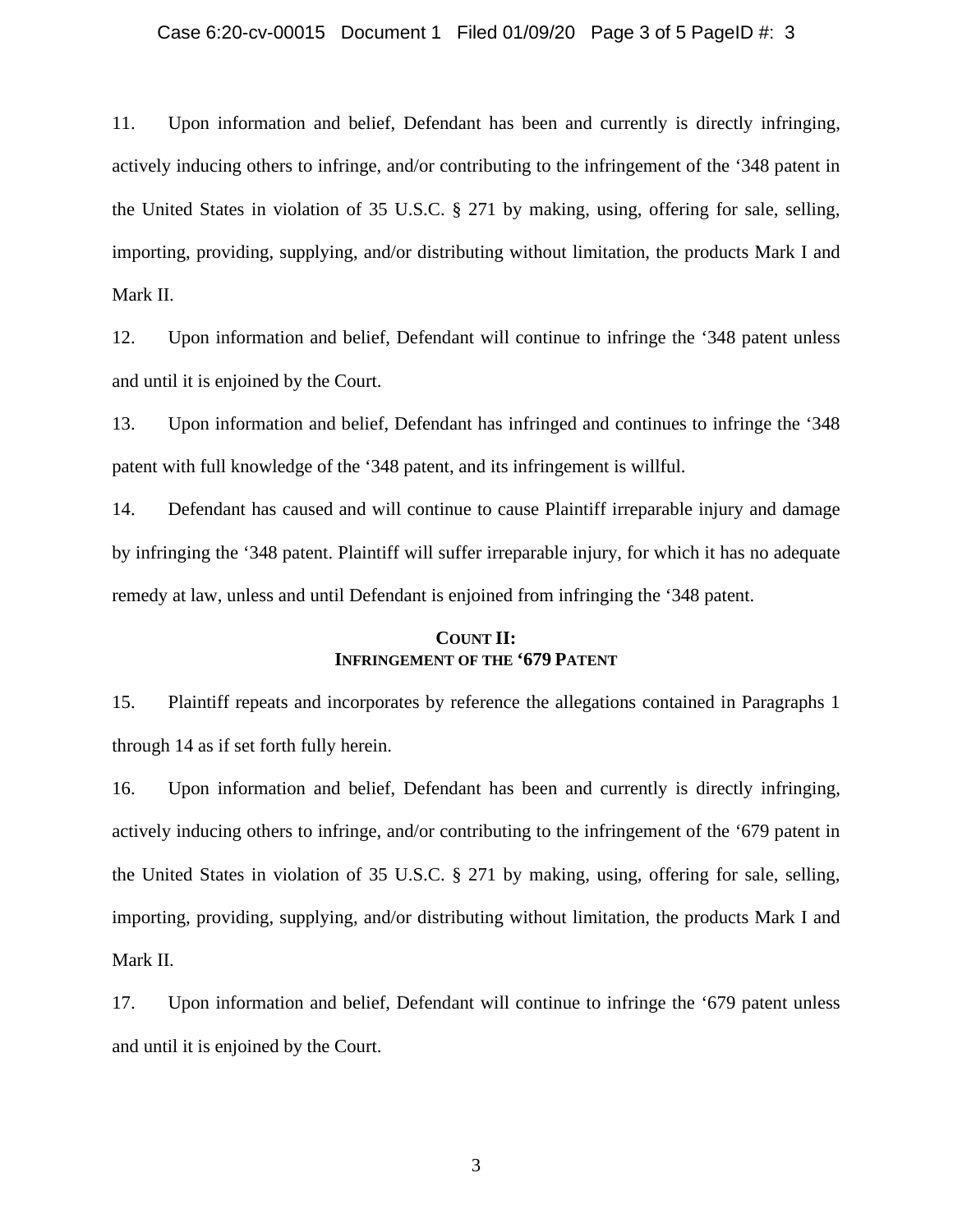#### Case 6:20-cv-00015 Document 1 Filed 01/09/20 Page 3 of 5 PageID #: 3

11. Upon information and belief, Defendant has been and currently is directly infringing, actively inducing others to infringe, and/or contributing to the infringement of the '348 patent in the United States in violation of 35 U.S.C. § 271 by making, using, offering for sale, selling, importing, providing, supplying, and/or distributing without limitation, the products Mark I and Mark II.

12. Upon information and belief, Defendant will continue to infringe the '348 patent unless and until it is enjoined by the Court.

13. Upon information and belief, Defendant has infringed and continues to infringe the '348 patent with full knowledge of the '348 patent, and its infringement is willful.

14. Defendant has caused and will continue to cause Plaintiff irreparable injury and damage by infringing the '348 patent. Plaintiff will suffer irreparable injury, for which it has no adequate remedy at law, unless and until Defendant is enjoined from infringing the '348 patent.

# **COUNT II: INFRINGEMENT OF THE '679 PATENT**

15. Plaintiff repeats and incorporates by reference the allegations contained in Paragraphs 1 through 14 as if set forth fully herein.

16. Upon information and belief, Defendant has been and currently is directly infringing, actively inducing others to infringe, and/or contributing to the infringement of the '679 patent in the United States in violation of 35 U.S.C. § 271 by making, using, offering for sale, selling, importing, providing, supplying, and/or distributing without limitation, the products Mark I and Mark II.

17. Upon information and belief, Defendant will continue to infringe the '679 patent unless and until it is enjoined by the Court.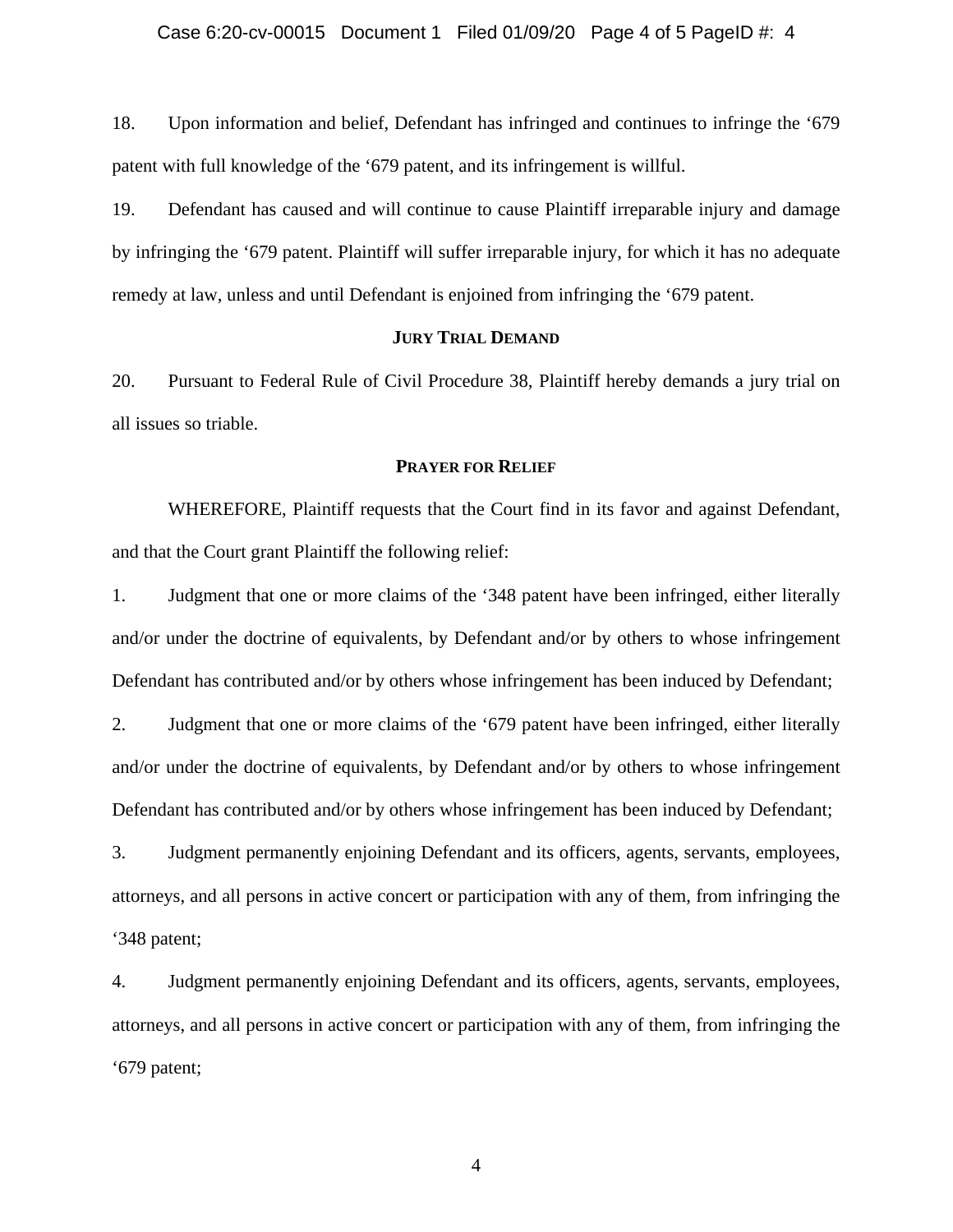18. Upon information and belief, Defendant has infringed and continues to infringe the '679 patent with full knowledge of the '679 patent, and its infringement is willful.

19. Defendant has caused and will continue to cause Plaintiff irreparable injury and damage by infringing the '679 patent. Plaintiff will suffer irreparable injury, for which it has no adequate remedy at law, unless and until Defendant is enjoined from infringing the '679 patent.

### **JURY TRIAL DEMAND**

20. Pursuant to Federal Rule of Civil Procedure 38, Plaintiff hereby demands a jury trial on all issues so triable.

#### **PRAYER FOR RELIEF**

WHEREFORE, Plaintiff requests that the Court find in its favor and against Defendant, and that the Court grant Plaintiff the following relief:

1. Judgment that one or more claims of the '348 patent have been infringed, either literally and/or under the doctrine of equivalents, by Defendant and/or by others to whose infringement Defendant has contributed and/or by others whose infringement has been induced by Defendant;

2. Judgment that one or more claims of the '679 patent have been infringed, either literally and/or under the doctrine of equivalents, by Defendant and/or by others to whose infringement Defendant has contributed and/or by others whose infringement has been induced by Defendant;

3. Judgment permanently enjoining Defendant and its officers, agents, servants, employees, attorneys, and all persons in active concert or participation with any of them, from infringing the '348 patent;

4. Judgment permanently enjoining Defendant and its officers, agents, servants, employees, attorneys, and all persons in active concert or participation with any of them, from infringing the '679 patent;